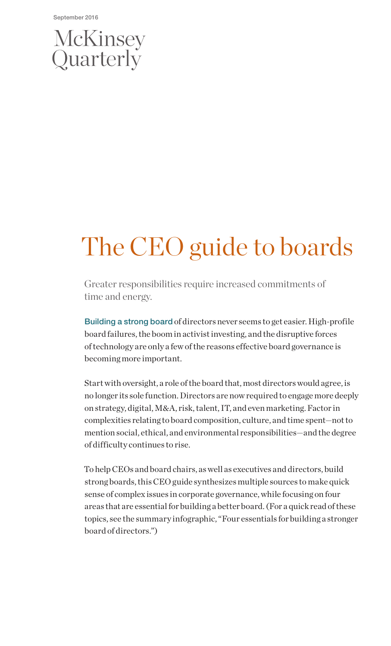September 2016

# McKinsey<br>Quarterly

# The CEO guide to boards

Greater responsibilities require increased commitments of time and energy.

Building a strong board of directors never seems to get easier. High-profile board failures, the boom in activist investing, and the disruptive forces of technology are only a few of the reasons effective board governance is becoming more important.

Start with oversight, a role of the board that, most directors would agree, is no longer its sole function. Directors are now required to engage more deeply on strategy, digital, M&A, risk, talent, IT, and even marketing. Factor in complexities relating to board composition, culture, and time spent—not to mention social, ethical, and environmental responsibilities—and the degree of difficulty continues to rise.

To help CEOs and board chairs, as well as executives and directors, build strong boards, this CEO guide synthesizes multiple sources to make quick sense of complex issues in corporate governance, while focusing on four areas that are essential for building a better board. (For a quick read of these topics, see the summary infographic, "Four essentials for building a stronger board of directors.")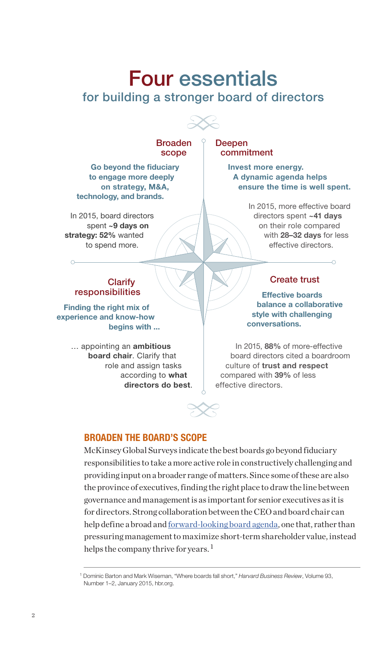# Four essentials for building a stronger board of directors

Broaden scope

Go beyond the fiduciary to engage more deeply on strategy, M&A, technology, and brands.

In 2015, board directors spent ~9 days on strategy: 52% wanted to spend more.

**Deepen** commitment

> Invest more energy. A dynamic agenda helps ensure the time is well spent.

> > In 2015, more effective board directors spent ~41 days on their role compared with 28–32 days for less effective directors.

> > > $\Omega$

#### **Clarify** responsibilities

Finding the right mix of experience and know-how begins with ...

> … appointing an ambitious board chair. Clarify that role and assign tasks according to what directors do best.

#### Create trust

Effective boards balance a collaborative style with challenging conversations.

In 2015, 88% of more-effective board directors cited a boardroom culture of trust and respect compared with 39% of less effective directors.

#### BROADEN THE BOARD'S SCOPE

McKinsey Global Surveys indicate the best boards go beyond fiduciary responsibilities to take a more active role in constructively challenging and providing input on a broader range of matters. Since some of these are also the province of executives, finding the right place to draw the line between governance and management is as important for senior executives as it is for directors. Strong collaboration between the CEO and board chair can help define a broad and [forward-looking board agenda,](https://hbr.org/2015/01/where-boards-fall-short) one that, rather than pressuring management to maximize short-term shareholder value, instead helps the company thrive for years.<sup>1</sup>

<sup>1</sup> Dominic Barton and Mark Wiseman, "Where boards fall short," *Harvard Business Review*, Volume 93, Number 1–2, January 2015, hbr.org.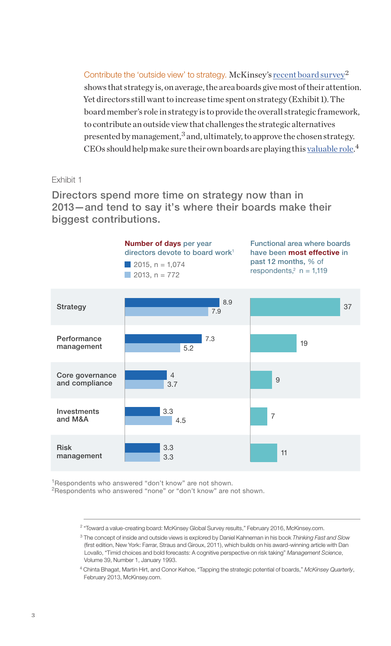Contribute the 'outside view' to strategy. McKinsey's [recent board survey](http://www.mckinsey.com/business-functions/strategy-and-corporate-finance/our-insights/toward-a-value-creating-board)<sup>2</sup> shows that strategy is, on average, the area boards give most of their attention. Yet directors still want to increase time spent on strategy (Exhibit 1). The board member's role in strategy is to provide the overall strategic framework, to contribute an outside view that challenges the strategic alternatives presented by management, $3$  and, ultimately, to approve the chosen strategy. CEOs should help make sure their own boards are playing this [valuable role](http://www.mckinsey.com/business-functions/strategy-and-corporate-finance/our-insights/tapping-the-strategic-potential-of-boards).<sup>4</sup>

Exhibit 1

Directors spend more time on strategy now than in 2013—and tend to say it's where their boards make their biggest contributions.



<sup>1</sup>Respondents who answered "don't know" are not shown.

<sup>2</sup>Respondents who answered "none" or "don't know" are not shown.

<sup>&</sup>lt;sup>2</sup> "Toward a value-creating board: McKinsey Global Survey results," February 2016, McKinsey.com.

<sup>3</sup> The concept of inside and outside views is explored by Daniel Kahneman in his book *Thinking Fast and Slow*  (first edition, New York: Farrar, Straus and Giroux, 2011), which builds on his award-winning article with Dan Lovallo, "Timid choices and bold forecasts: A cognitive perspective on risk taking" *Management Science*, Volume 39, Number 1, January 1993.

<sup>4</sup> Chinta Bhagat, Martin Hirt, and Conor Kehoe, "Tapping the strategic potential of boards," *McKinsey Quarterly*, February 2013, McKinsey.com.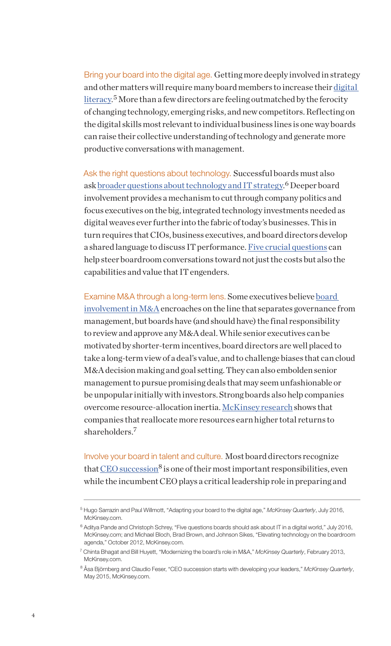Bring your board into the digital age. Getting more deeply involved in strategy and other matters will require many board members to increase their [digital](http://www.mckinsey.com/business-functions/business-technology/our-insights/adapting-your-board-to-the-digital-age)  [literacy](http://www.mckinsey.com/business-functions/business-technology/our-insights/adapting-your-board-to-the-digital-age).<sup>5</sup> More than a few directors are feeling outmatched by the ferocity of changing technology, emerging risks, and new competitors. Reflecting on the digital skills most relevant to individual business lines is one way boards can raise their collective understanding of technology and generate more productive conversations with management.

Ask the right questions about technology. Successful boards must also ask <u>broader questions about technology and IT strategy.</u> <sup>6</sup> Deeper board involvement provides a mechanism to cut through company politics and focus executives on the big, integrated technology investments needed as digital weaves ever further into the fabric of today's businesses. This in turn requires that CIOs, business executives, and board directors develop a shared language to discuss IT performance. [Five crucial questions](http://www.mckinsey.com/business-functions/business-technology/our-insights/five-questions-boards-should-ask-about-it-in-a-digital-world) can help steer boardroom conversations toward not just the costs but also the capabilities and value that IT engenders.

Examine M&A through a long-term lens. Some executives believe [board](http://www.mckinsey.com/business-functions/strategy-and-corporate-finance/our-insights/modernizing-the-boards-role-in-m-and-a)  [involvement in M&A](http://www.mckinsey.com/business-functions/strategy-and-corporate-finance/our-insights/modernizing-the-boards-role-in-m-and-a) encroaches on the line that separates governance from management, but boards have (and should have) the final responsibility to review and approve any M&A deal. While senior executives can be motivated by shorter-term incentives, board directors are well placed to take a long-term view of a deal's value, and to challenge biases that can cloud M&A decision making and goal setting. They can also embolden senior management to pursue promising deals that may seem unfashionable or be unpopular initially with investors. Strong boards also help companies overcome resource-allocation inertia. [McKinsey research](http://www.mckinsey.com/business-functions/strategy-and-corporate-finance/our-insights/how-to-put-your-money-where-your-strategy-is) shows that companies that reallocate more resources earn higher total returns to shareholders.7

Involve your board in talent and culture. Most board directors recognize that  $CEO$  succession<sup>8</sup> is one of their most important responsibilities, even while the incumbent CEO plays a critical leadership role in preparing and

<sup>5</sup> Hugo Sarrazin and Paul Willmott, "Adapting your board to the digital age," *McKinsey Quarterly*, July 2016, McKinsey.com.

<sup>&</sup>lt;sup>6</sup> Aditya Pande and Christoph Schrey, "Five questions boards should ask about IT in a digital world," July 2016, McKinsey.com; and Michael Bloch, Brad Brown, and Johnson Sikes, "Elevating technology on the boardroom agenda," October 2012, McKinsey.com.

<sup>7</sup> Chinta Bhagat and Bill Huyett, "Modernizing the board's role in M&A," *McKinsey Quarterly*, February 2013, McKinsey.com.

<sup>8</sup> Åsa Björnberg and Claudio Feser, "CEO succession starts with developing your leaders," *McKinsey Quarterly*, May 2015, McKinsey.com.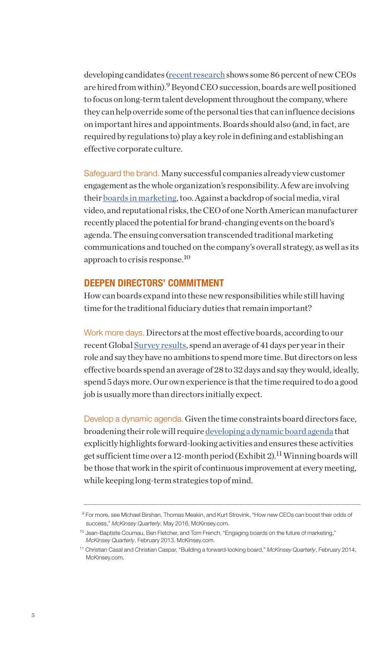developing candidates [\(recent research](http://www.mckinsey.com/global-themes/leadership/how-new-ceos-can-boost-their-odds-of-success) shows some 86 percent of new CEOs are hired from within).<sup>9</sup> Beyond CEO succession, boards are well positioned to focus on long-term talent development throughout the company, where they can help override some of the personal ties that can influence decisions on important hires and appointments. Boards should also (and, in fact, are required by regulations to) play a key role in defining and establishing an effective corporate culture.

Safeguard the brand. Many successful companies already view customer engagement as the whole organization's responsibility. A few are involving their [boards in marketing](http://www.mckinsey.com/business-functions/marketing-and-sales/our-insights/engaging-boards-on-the-future-of-marketing), too. Against a backdrop of social media, viral video, and reputational risks, the CEO of one North American manufacturer recently placed the potential for brand-changing events on the board's agenda. The ensuing conversation transcended traditional marketing communications and touched on the company's overall strategy, as well as its approach to crisis response.<sup>10</sup>

#### DEEPEN DIRECTORS' COMMITMENT

How can boards expand into these new responsibilities while still having time for the traditional fiduciary duties that remain important?

Work more days. Directors at the most effective boards, according to our recent Global Surve[y results,](http://www.mckinsey.com/business-functions/strategy-and-corporate-finance/our-insights/toward-a-value-creating-board) spend an average of 41 days per year in their role and say they have no ambitions to spend more time. But directors on less effective boards spend an average of 28 to 32 days and say they would, ideally, spend 5 days more. Our own experience is that the time required to do a good job is usually more than directors initially expect.

Develop a dynamic agenda. Given the time constraints board directors face, broadening their role will require [developing a dynamic board agenda](http://www.mckinsey.com/business-functions/strategy-and-corporate-finance/our-insights/building-a-forward-looking-board) that explicitly highlights forward-looking activities and ensures these activities get sufficient time over a 12-month period (Exhibit 2).<sup>11</sup> Winning boards will be those that work in the spirit of continuous improvement at every meeting, while keeping long-term strategies top of mind.

<sup>9</sup> For more, see Michael Birshan, Thomas Meakin, and Kurt Strovink, "How new CEOs can boost their odds of success," *McKinsey Quarterly*, May 2016, McKinsey.com.

<sup>&</sup>lt;sup>10</sup> Jean-Baptiste Coumau, Ben Fletcher, and Tom French, "Engaging boards on the future of marketing," *McKinsey Quarterly*, February 2013, McKinsey.com.

<sup>11</sup> Christian Casal and Christian Caspar, "Building a forward-looking board," *McKinsey Quarterly*, February 2014, McKinsey.com.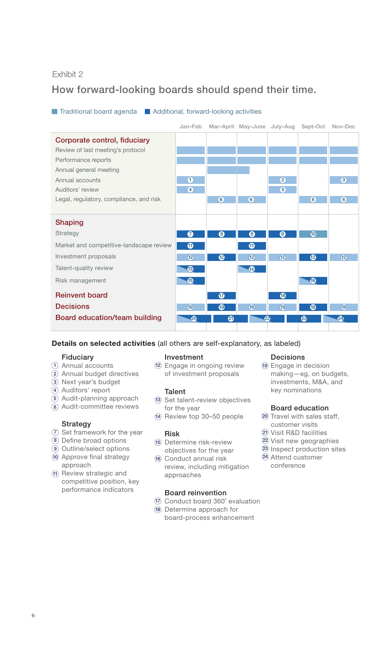#### Exhibit 2

# How forward-looking boards should spend their time.

#### **Traditional board agenda** Additional, forward-looking activities



#### Details on selected activities (all others are self-explanatory, as labeled)

#### Fiduciary

- 1) Annual accounts
- 2) Annual budget directives
- Next year's budget 3
- 4) Auditors' report
- 5) Audit-planning approach
- 6) Audit-committee reviews

#### Strategy

- 7) Set framework for the year
- 8) Define broad options
- Outline/select options 9
- 10 Approve final strategy approach
- $\widehat{\mathfrak{n}}$  Review strategic and competitive position, key performance indicators

#### Investment

12 Engage in ongoing review of investment proposals

#### Talent

- 13) Set talent-review objectives for the year
- 14) Review top 30–50 people

#### Risk

15 Determine risk-review objectives for the year

16 Conduct annual risk review, including mitigation approaches

#### Board reinvention

- 17) Conduct board 360° evaluation
- 18 Determine approach for board-process enhancement

#### Decisions

19 Engage in decision making—eg, on budgets, investments, M&A, and key nominations

#### Board education

- 20 Travel with sales staff,
- customer visits Visit R&D facilities 21
- Visit new geographies 22
- 23 Inspect production sites
- Attend customer 24 conference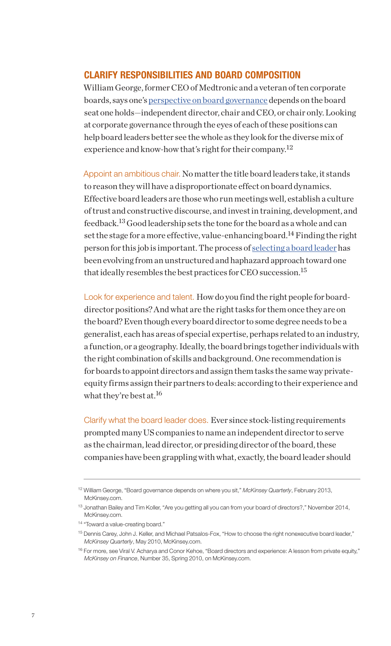#### CLARIFY RESPONSIBILITIES AND BOARD COMPOSITION

William George, former CEO of Medtronic and a veteran of ten corporate boards, says one's [perspective on board governance](http://www.mckinsey.com/global-themes/leadership/board-governance-depends-on-where-you-sit) depends on the board seat one holds—independent director, chair and CEO, or chair only. Looking at corporate governance through the eyes of each of these positions can help board leaders better see the whole as they look for the diverse mix of experience and know-how that's right for their company.<sup>12</sup>

Appoint an ambitious chair. No matter the title board leaders take, it stands to reason they will have a disproportionate effect on board dynamics. Effective board leaders are those who run meetings well, establish a culture of trust and constructive discourse, and invest in training, development, and feedback.13 Good leadership sets the tone for the board as a whole and can set the stage for a more effective, value-enhancing board.<sup>14</sup> Finding the right person for this job is important. The process of [selecting a board leader](http://www.mckinsey.com/global-themes/leadership/how-to-choose-the-right-nonexecutive-board-leader) has been evolving from an unstructured and haphazard approach toward one that ideally resembles the best practices for CEO succession.<sup>15</sup>

Look for experience and talent. How do you find the right people for boarddirector positions? And what are the right tasks for them once they are on the board? Even though every board director to some degree needs to be a generalist, each has areas of special expertise, perhaps related to an industry, a function, or a geography. Ideally, the board brings together individuals with the right combination of skills and background. One recommendation is for boards to appoint directors and assign them tasks the same way privateequity firms assign their partners to deals: according to their experience and what they're best at.<sup>16</sup>

Clarify what the board leader does. Ever since stock-listing requirements prompted many US companies to name an independent director to serve as the chairman, lead director, or presiding director of the board, these companies have been grappling with what, exactly, the board leader should

<sup>12</sup> William George, "Board governance depends on where you sit," *McKinsey Quarterly*, February 2013, McKinsey.com.

<sup>&</sup>lt;sup>13</sup> Jonathan Bailey and Tim Koller, "Are you getting all you can from your board of directors?," November 2014, McKinsey.com.

<sup>&</sup>lt;sup>14</sup> "Toward a value-creating board."

<sup>15</sup> Dennis Carey, John J. Keller, and Michael Patsalos-Fox, "How to choose the right nonexecutive board leader," *McKinsey Quarterly*, May 2010, McKinsey.com.

<sup>&</sup>lt;sup>16</sup> For more, see Viral V. Acharya and Conor Kehoe, "Board directors and experience: A lesson from private equity," *McKinsey on Finance*, Number 35, Spring 2010, on McKinsey.com.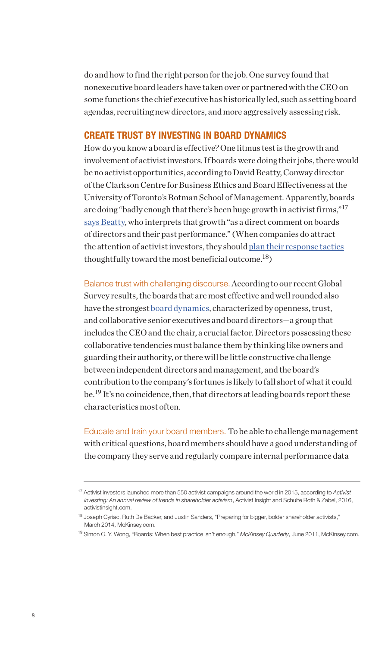do and how to find the right person for the job. One survey found that nonexecutive board leaders have taken over or partnered with the CEO on some functions the chief executive has historically led, such as setting board agendas, recruiting new directors, and more aggressively assessing risk.

#### CREATE TRUST BY INVESTING IN BOARD DYNAMICS

How do you know a board is effective? One litmus test is the growth and involvement of activist investors. If boards were doing their jobs, there would be no activist opportunities, according to David Beatty, Conway director of the Clarkson Centre for Business Ethics and Board Effectiveness at the University of Toronto's Rotman School of Management. Apparently, boards are doing "badly enough that there's been huge growth in activist firms,"<sup>17</sup> [says Beatty,](http://www.mckinsey.com/business-functions/strategy-and-corporate-finance/our-insights/are-you-getting-all-you-can-from-your-board-of-directors) who interprets that growth "as a direct comment on boards of directors and their past performance." (When companies do attract the attention of activist investors, they should [plan their response tactics](http://www.mckinsey.com/business-functions/strategy-and-corporate-finance/our-insights/preparing-for-bigger-bolder-shareholder-activists) thoughtfully toward the most beneficial outcome.<sup>18</sup>)

Balance trust with challenging discourse. According to our recent Global Survey results, the boards that are most effective and well rounded also have the strongest **board dynamics**, characterized by openness, trust, and collaborative senior executives and board directors—a group that includes the CEO and the chair, a crucial factor. Directors possessing these collaborative tendencies must balance them by thinking like owners and guarding their authority, or there will be little constructive challenge between independent directors and management, and the board's contribution to the company's fortunes is likely to fall short of what it could be.<sup>19</sup> It's no coincidence, then, that directors at leading boards report these characteristics most often.

Educate and train your board members. To be able to challenge management with critical questions, board members should have a good understanding of the company they serve and regularly compare internal performance data

<sup>17</sup> Activist investors launched more than 550 activist campaigns around the world in 2015, according to *Activist investing: An annual review of trends in shareholder activism*, Activist Insight and Schulte Roth & Zabel, 2016, activistinsight.com.

<sup>&</sup>lt;sup>18</sup> Joseph Cyriac, Ruth De Backer, and Justin Sanders, "Preparing for bigger, bolder shareholder activists," March 2014, McKinsey.com.

<sup>19</sup> Simon C. Y. Wong, "Boards: When best practice isn't enough," *McKinsey Quarterly*, June 2011, McKinsey.com.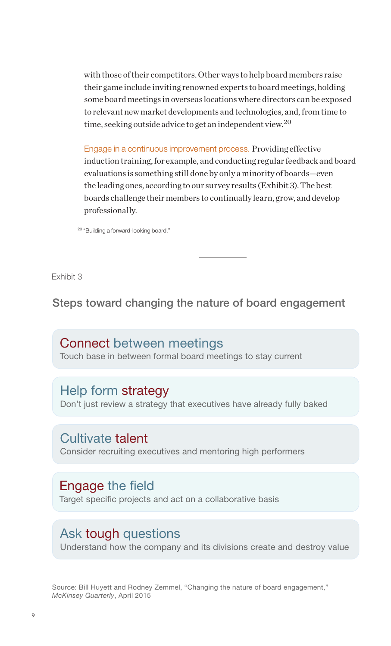with those of their competitors. Other ways to help board members raise their game include inviting renowned experts to board meetings, holding some board meetings in overseas locations where directors can be exposed to relevant new market developments and technologies, and, from time to time, seeking outside advice to get an independent view.<sup>20</sup>

Engage in a continuous improvement process. Providing effective induction training, for example, and conducting regular feedback and board evaluations is something still done by only a minority of boards—even the leading ones, according to our survey results (Exhibit 3). The best boards challenge their members to continually learn, grow, and develop professionally.

<sup>20</sup> "Building a forward-looking board."

Exhibit 3  $L$  $\lambda$  indit  $\theta$ 

Steps toward changing the nature of board engagement

Connect between meetings Touch base in between formal board meetings to stay current

## Help form strategy

Don't just review a strategy that executives have already fully baked

Cultivate talent Consider recruiting executives and mentoring high performers

### Engage the field

Target specific projects and act on a collaborative basis

# Ask tough questions

Understand how the company and its divisions create and destroy value

Source: Bill Huyett and Rodney Zemmel, "Changing the nature of board engagement," *McKinsey Quarterly*, April 2015